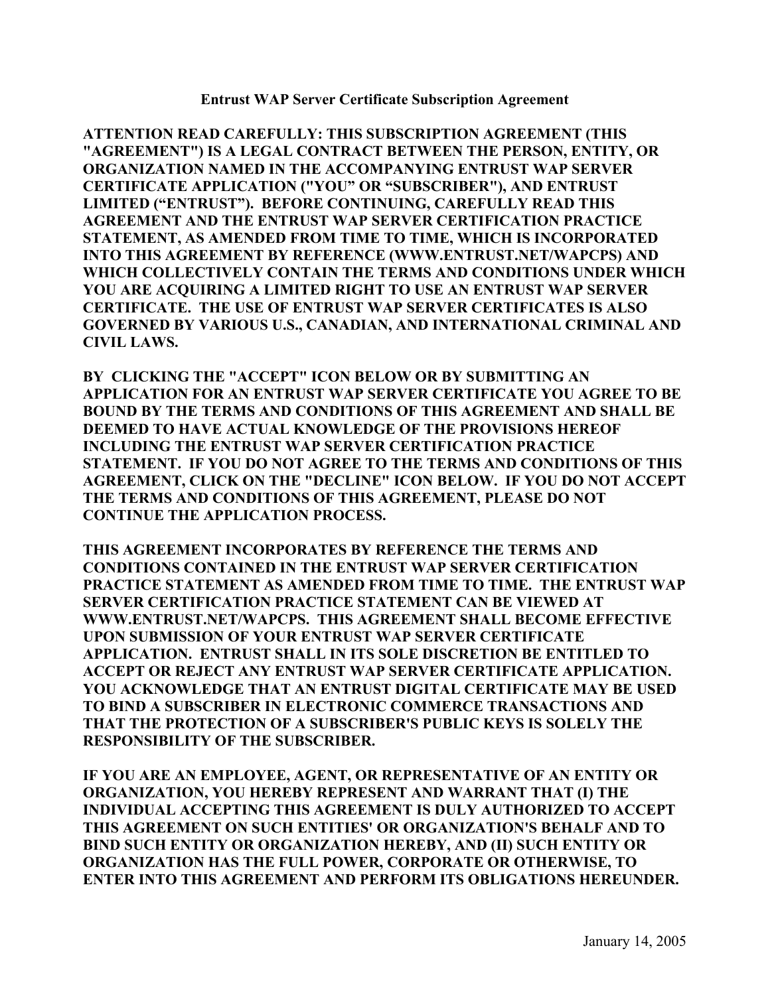**Entrust WAP Server Certificate Subscription Agreement** 

**ATTENTION READ CAREFULLY: THIS SUBSCRIPTION AGREEMENT (THIS "AGREEMENT") IS A LEGAL CONTRACT BETWEEN THE PERSON, ENTITY, OR ORGANIZATION NAMED IN THE ACCOMPANYING ENTRUST WAP SERVER CERTIFICATE APPLICATION ("YOU" OR "SUBSCRIBER"), AND ENTRUST LIMITED ("ENTRUST"). BEFORE CONTINUING, CAREFULLY READ THIS AGREEMENT AND THE ENTRUST WAP SERVER CERTIFICATION PRACTICE STATEMENT, AS AMENDED FROM TIME TO TIME, WHICH IS INCORPORATED INTO THIS AGREEMENT BY REFERENCE (WWW.ENTRUST.NET/WAPCPS) AND WHICH COLLECTIVELY CONTAIN THE TERMS AND CONDITIONS UNDER WHICH YOU ARE ACQUIRING A LIMITED RIGHT TO USE AN ENTRUST WAP SERVER CERTIFICATE. THE USE OF ENTRUST WAP SERVER CERTIFICATES IS ALSO GOVERNED BY VARIOUS U.S., CANADIAN, AND INTERNATIONAL CRIMINAL AND CIVIL LAWS.** 

**BY CLICKING THE "ACCEPT" ICON BELOW OR BY SUBMITTING AN APPLICATION FOR AN ENTRUST WAP SERVER CERTIFICATE YOU AGREE TO BE BOUND BY THE TERMS AND CONDITIONS OF THIS AGREEMENT AND SHALL BE DEEMED TO HAVE ACTUAL KNOWLEDGE OF THE PROVISIONS HEREOF INCLUDING THE ENTRUST WAP SERVER CERTIFICATION PRACTICE STATEMENT. IF YOU DO NOT AGREE TO THE TERMS AND CONDITIONS OF THIS AGREEMENT, CLICK ON THE "DECLINE" ICON BELOW. IF YOU DO NOT ACCEPT THE TERMS AND CONDITIONS OF THIS AGREEMENT, PLEASE DO NOT CONTINUE THE APPLICATION PROCESS.** 

**THIS AGREEMENT INCORPORATES BY REFERENCE THE TERMS AND CONDITIONS CONTAINED IN THE ENTRUST WAP SERVER CERTIFICATION PRACTICE STATEMENT AS AMENDED FROM TIME TO TIME. THE ENTRUST WAP SERVER CERTIFICATION PRACTICE STATEMENT CAN BE VIEWED AT WWW.ENTRUST.NET/WAPCPS. THIS AGREEMENT SHALL BECOME EFFECTIVE UPON SUBMISSION OF YOUR ENTRUST WAP SERVER CERTIFICATE APPLICATION. ENTRUST SHALL IN ITS SOLE DISCRETION BE ENTITLED TO ACCEPT OR REJECT ANY ENTRUST WAP SERVER CERTIFICATE APPLICATION. YOU ACKNOWLEDGE THAT AN ENTRUST DIGITAL CERTIFICATE MAY BE USED TO BIND A SUBSCRIBER IN ELECTRONIC COMMERCE TRANSACTIONS AND THAT THE PROTECTION OF A SUBSCRIBER'S PUBLIC KEYS IS SOLELY THE RESPONSIBILITY OF THE SUBSCRIBER.** 

**IF YOU ARE AN EMPLOYEE, AGENT, OR REPRESENTATIVE OF AN ENTITY OR ORGANIZATION, YOU HEREBY REPRESENT AND WARRANT THAT (I) THE INDIVIDUAL ACCEPTING THIS AGREEMENT IS DULY AUTHORIZED TO ACCEPT THIS AGREEMENT ON SUCH ENTITIES' OR ORGANIZATION'S BEHALF AND TO BIND SUCH ENTITY OR ORGANIZATION HEREBY, AND (II) SUCH ENTITY OR ORGANIZATION HAS THE FULL POWER, CORPORATE OR OTHERWISE, TO ENTER INTO THIS AGREEMENT AND PERFORM ITS OBLIGATIONS HEREUNDER.**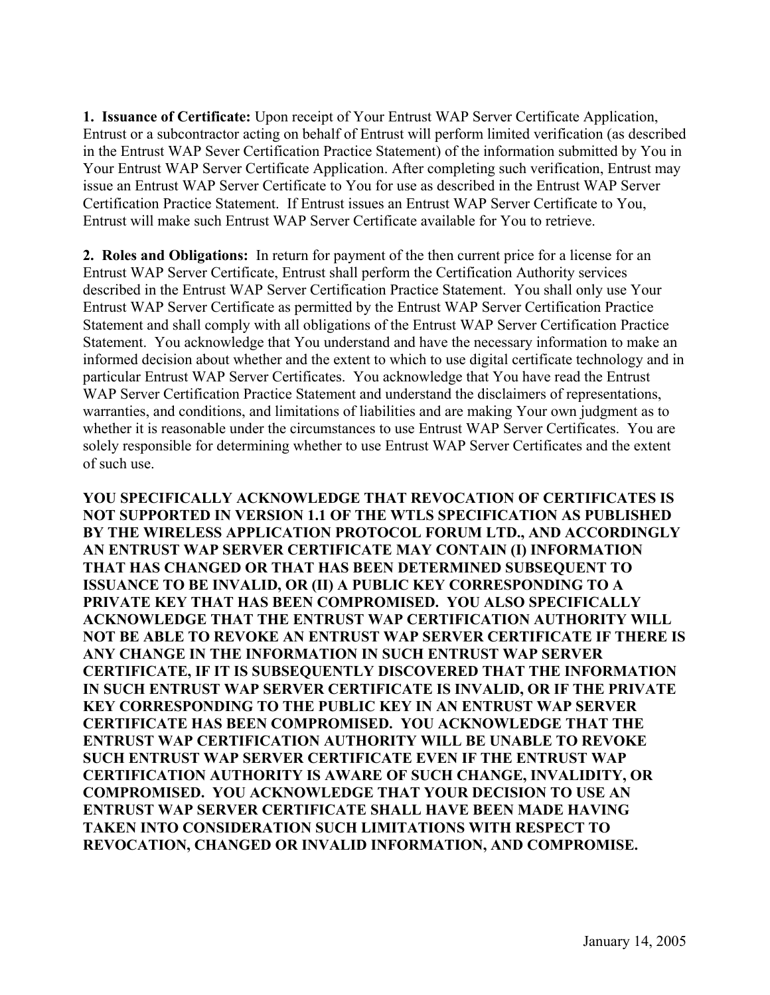**1. Issuance of Certificate:** Upon receipt of Your Entrust WAP Server Certificate Application, Entrust or a subcontractor acting on behalf of Entrust will perform limited verification (as described in the Entrust WAP Sever Certification Practice Statement) of the information submitted by You in Your Entrust WAP Server Certificate Application. After completing such verification, Entrust may issue an Entrust WAP Server Certificate to You for use as described in the Entrust WAP Server Certification Practice Statement. If Entrust issues an Entrust WAP Server Certificate to You, Entrust will make such Entrust WAP Server Certificate available for You to retrieve.

**2. Roles and Obligations:** In return for payment of the then current price for a license for an Entrust WAP Server Certificate, Entrust shall perform the Certification Authority services described in the Entrust WAP Server Certification Practice Statement. You shall only use Your Entrust WAP Server Certificate as permitted by the Entrust WAP Server Certification Practice Statement and shall comply with all obligations of the Entrust WAP Server Certification Practice Statement. You acknowledge that You understand and have the necessary information to make an informed decision about whether and the extent to which to use digital certificate technology and in particular Entrust WAP Server Certificates. You acknowledge that You have read the Entrust WAP Server Certification Practice Statement and understand the disclaimers of representations, warranties, and conditions, and limitations of liabilities and are making Your own judgment as to whether it is reasonable under the circumstances to use Entrust WAP Server Certificates. You are solely responsible for determining whether to use Entrust WAP Server Certificates and the extent of such use.

**YOU SPECIFICALLY ACKNOWLEDGE THAT REVOCATION OF CERTIFICATES IS NOT SUPPORTED IN VERSION 1.1 OF THE WTLS SPECIFICATION AS PUBLISHED BY THE WIRELESS APPLICATION PROTOCOL FORUM LTD., AND ACCORDINGLY AN ENTRUST WAP SERVER CERTIFICATE MAY CONTAIN (I) INFORMATION THAT HAS CHANGED OR THAT HAS BEEN DETERMINED SUBSEQUENT TO ISSUANCE TO BE INVALID, OR (II) A PUBLIC KEY CORRESPONDING TO A PRIVATE KEY THAT HAS BEEN COMPROMISED. YOU ALSO SPECIFICALLY ACKNOWLEDGE THAT THE ENTRUST WAP CERTIFICATION AUTHORITY WILL NOT BE ABLE TO REVOKE AN ENTRUST WAP SERVER CERTIFICATE IF THERE IS ANY CHANGE IN THE INFORMATION IN SUCH ENTRUST WAP SERVER CERTIFICATE, IF IT IS SUBSEQUENTLY DISCOVERED THAT THE INFORMATION IN SUCH ENTRUST WAP SERVER CERTIFICATE IS INVALID, OR IF THE PRIVATE KEY CORRESPONDING TO THE PUBLIC KEY IN AN ENTRUST WAP SERVER CERTIFICATE HAS BEEN COMPROMISED. YOU ACKNOWLEDGE THAT THE ENTRUST WAP CERTIFICATION AUTHORITY WILL BE UNABLE TO REVOKE SUCH ENTRUST WAP SERVER CERTIFICATE EVEN IF THE ENTRUST WAP CERTIFICATION AUTHORITY IS AWARE OF SUCH CHANGE, INVALIDITY, OR COMPROMISED. YOU ACKNOWLEDGE THAT YOUR DECISION TO USE AN ENTRUST WAP SERVER CERTIFICATE SHALL HAVE BEEN MADE HAVING TAKEN INTO CONSIDERATION SUCH LIMITATIONS WITH RESPECT TO REVOCATION, CHANGED OR INVALID INFORMATION, AND COMPROMISE.**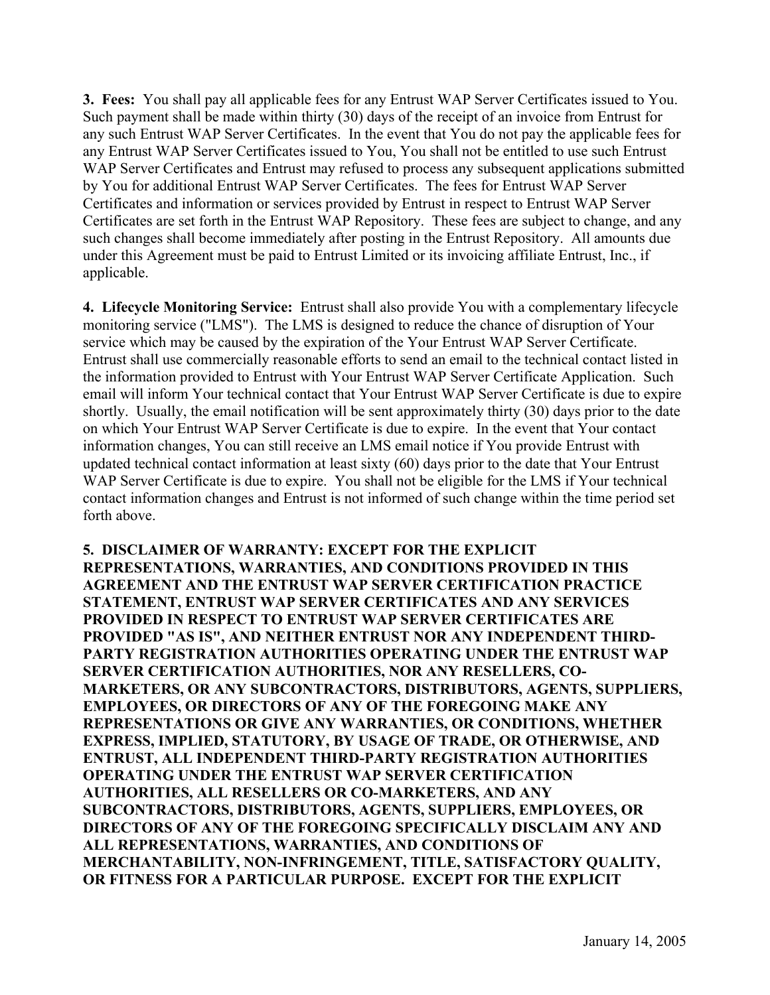**3. Fees:** You shall pay all applicable fees for any Entrust WAP Server Certificates issued to You. Such payment shall be made within thirty (30) days of the receipt of an invoice from Entrust for any such Entrust WAP Server Certificates. In the event that You do not pay the applicable fees for any Entrust WAP Server Certificates issued to You, You shall not be entitled to use such Entrust WAP Server Certificates and Entrust may refused to process any subsequent applications submitted by You for additional Entrust WAP Server Certificates. The fees for Entrust WAP Server Certificates and information or services provided by Entrust in respect to Entrust WAP Server Certificates are set forth in the Entrust WAP Repository. These fees are subject to change, and any such changes shall become immediately after posting in the Entrust Repository. All amounts due under this Agreement must be paid to Entrust Limited or its invoicing affiliate Entrust, Inc., if applicable.

**4. Lifecycle Monitoring Service:** Entrust shall also provide You with a complementary lifecycle monitoring service ("LMS"). The LMS is designed to reduce the chance of disruption of Your service which may be caused by the expiration of the Your Entrust WAP Server Certificate. Entrust shall use commercially reasonable efforts to send an email to the technical contact listed in the information provided to Entrust with Your Entrust WAP Server Certificate Application. Such email will inform Your technical contact that Your Entrust WAP Server Certificate is due to expire shortly. Usually, the email notification will be sent approximately thirty (30) days prior to the date on which Your Entrust WAP Server Certificate is due to expire. In the event that Your contact information changes, You can still receive an LMS email notice if You provide Entrust with updated technical contact information at least sixty (60) days prior to the date that Your Entrust WAP Server Certificate is due to expire. You shall not be eligible for the LMS if Your technical contact information changes and Entrust is not informed of such change within the time period set forth above.

**5. DISCLAIMER OF WARRANTY: EXCEPT FOR THE EXPLICIT REPRESENTATIONS, WARRANTIES, AND CONDITIONS PROVIDED IN THIS AGREEMENT AND THE ENTRUST WAP SERVER CERTIFICATION PRACTICE STATEMENT, ENTRUST WAP SERVER CERTIFICATES AND ANY SERVICES PROVIDED IN RESPECT TO ENTRUST WAP SERVER CERTIFICATES ARE PROVIDED "AS IS", AND NEITHER ENTRUST NOR ANY INDEPENDENT THIRD-PARTY REGISTRATION AUTHORITIES OPERATING UNDER THE ENTRUST WAP SERVER CERTIFICATION AUTHORITIES, NOR ANY RESELLERS, CO-MARKETERS, OR ANY SUBCONTRACTORS, DISTRIBUTORS, AGENTS, SUPPLIERS, EMPLOYEES, OR DIRECTORS OF ANY OF THE FOREGOING MAKE ANY REPRESENTATIONS OR GIVE ANY WARRANTIES, OR CONDITIONS, WHETHER EXPRESS, IMPLIED, STATUTORY, BY USAGE OF TRADE, OR OTHERWISE, AND ENTRUST, ALL INDEPENDENT THIRD-PARTY REGISTRATION AUTHORITIES OPERATING UNDER THE ENTRUST WAP SERVER CERTIFICATION AUTHORITIES, ALL RESELLERS OR CO-MARKETERS, AND ANY SUBCONTRACTORS, DISTRIBUTORS, AGENTS, SUPPLIERS, EMPLOYEES, OR DIRECTORS OF ANY OF THE FOREGOING SPECIFICALLY DISCLAIM ANY AND ALL REPRESENTATIONS, WARRANTIES, AND CONDITIONS OF MERCHANTABILITY, NON-INFRINGEMENT, TITLE, SATISFACTORY QUALITY, OR FITNESS FOR A PARTICULAR PURPOSE. EXCEPT FOR THE EXPLICIT**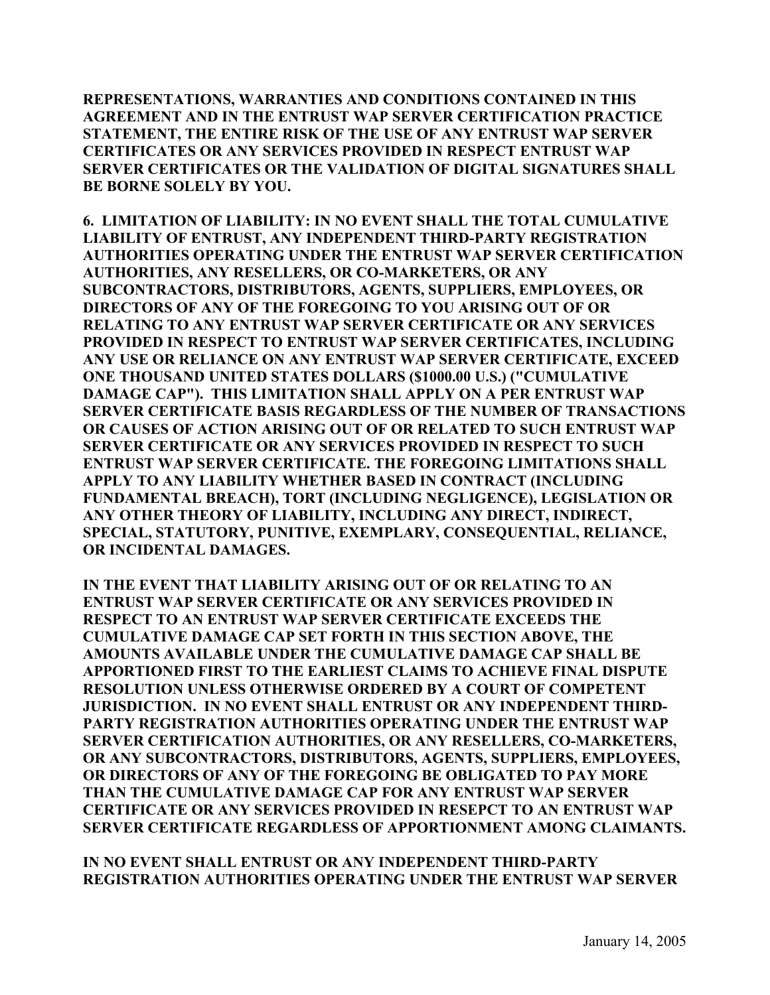**REPRESENTATIONS, WARRANTIES AND CONDITIONS CONTAINED IN THIS AGREEMENT AND IN THE ENTRUST WAP SERVER CERTIFICATION PRACTICE STATEMENT, THE ENTIRE RISK OF THE USE OF ANY ENTRUST WAP SERVER CERTIFICATES OR ANY SERVICES PROVIDED IN RESPECT ENTRUST WAP SERVER CERTIFICATES OR THE VALIDATION OF DIGITAL SIGNATURES SHALL BE BORNE SOLELY BY YOU.** 

**6. LIMITATION OF LIABILITY: IN NO EVENT SHALL THE TOTAL CUMULATIVE LIABILITY OF ENTRUST, ANY INDEPENDENT THIRD-PARTY REGISTRATION AUTHORITIES OPERATING UNDER THE ENTRUST WAP SERVER CERTIFICATION AUTHORITIES, ANY RESELLERS, OR CO-MARKETERS, OR ANY SUBCONTRACTORS, DISTRIBUTORS, AGENTS, SUPPLIERS, EMPLOYEES, OR DIRECTORS OF ANY OF THE FOREGOING TO YOU ARISING OUT OF OR RELATING TO ANY ENTRUST WAP SERVER CERTIFICATE OR ANY SERVICES PROVIDED IN RESPECT TO ENTRUST WAP SERVER CERTIFICATES, INCLUDING ANY USE OR RELIANCE ON ANY ENTRUST WAP SERVER CERTIFICATE, EXCEED ONE THOUSAND UNITED STATES DOLLARS (\$1000.00 U.S.) ("CUMULATIVE DAMAGE CAP"). THIS LIMITATION SHALL APPLY ON A PER ENTRUST WAP SERVER CERTIFICATE BASIS REGARDLESS OF THE NUMBER OF TRANSACTIONS OR CAUSES OF ACTION ARISING OUT OF OR RELATED TO SUCH ENTRUST WAP SERVER CERTIFICATE OR ANY SERVICES PROVIDED IN RESPECT TO SUCH ENTRUST WAP SERVER CERTIFICATE. THE FOREGOING LIMITATIONS SHALL APPLY TO ANY LIABILITY WHETHER BASED IN CONTRACT (INCLUDING FUNDAMENTAL BREACH), TORT (INCLUDING NEGLIGENCE), LEGISLATION OR ANY OTHER THEORY OF LIABILITY, INCLUDING ANY DIRECT, INDIRECT, SPECIAL, STATUTORY, PUNITIVE, EXEMPLARY, CONSEQUENTIAL, RELIANCE, OR INCIDENTAL DAMAGES.** 

**IN THE EVENT THAT LIABILITY ARISING OUT OF OR RELATING TO AN ENTRUST WAP SERVER CERTIFICATE OR ANY SERVICES PROVIDED IN RESPECT TO AN ENTRUST WAP SERVER CERTIFICATE EXCEEDS THE CUMULATIVE DAMAGE CAP SET FORTH IN THIS SECTION ABOVE, THE AMOUNTS AVAILABLE UNDER THE CUMULATIVE DAMAGE CAP SHALL BE APPORTIONED FIRST TO THE EARLIEST CLAIMS TO ACHIEVE FINAL DISPUTE RESOLUTION UNLESS OTHERWISE ORDERED BY A COURT OF COMPETENT JURISDICTION. IN NO EVENT SHALL ENTRUST OR ANY INDEPENDENT THIRD-PARTY REGISTRATION AUTHORITIES OPERATING UNDER THE ENTRUST WAP SERVER CERTIFICATION AUTHORITIES, OR ANY RESELLERS, CO-MARKETERS, OR ANY SUBCONTRACTORS, DISTRIBUTORS, AGENTS, SUPPLIERS, EMPLOYEES, OR DIRECTORS OF ANY OF THE FOREGOING BE OBLIGATED TO PAY MORE THAN THE CUMULATIVE DAMAGE CAP FOR ANY ENTRUST WAP SERVER CERTIFICATE OR ANY SERVICES PROVIDED IN RESEPCT TO AN ENTRUST WAP SERVER CERTIFICATE REGARDLESS OF APPORTIONMENT AMONG CLAIMANTS.** 

**IN NO EVENT SHALL ENTRUST OR ANY INDEPENDENT THIRD-PARTY REGISTRATION AUTHORITIES OPERATING UNDER THE ENTRUST WAP SERVER**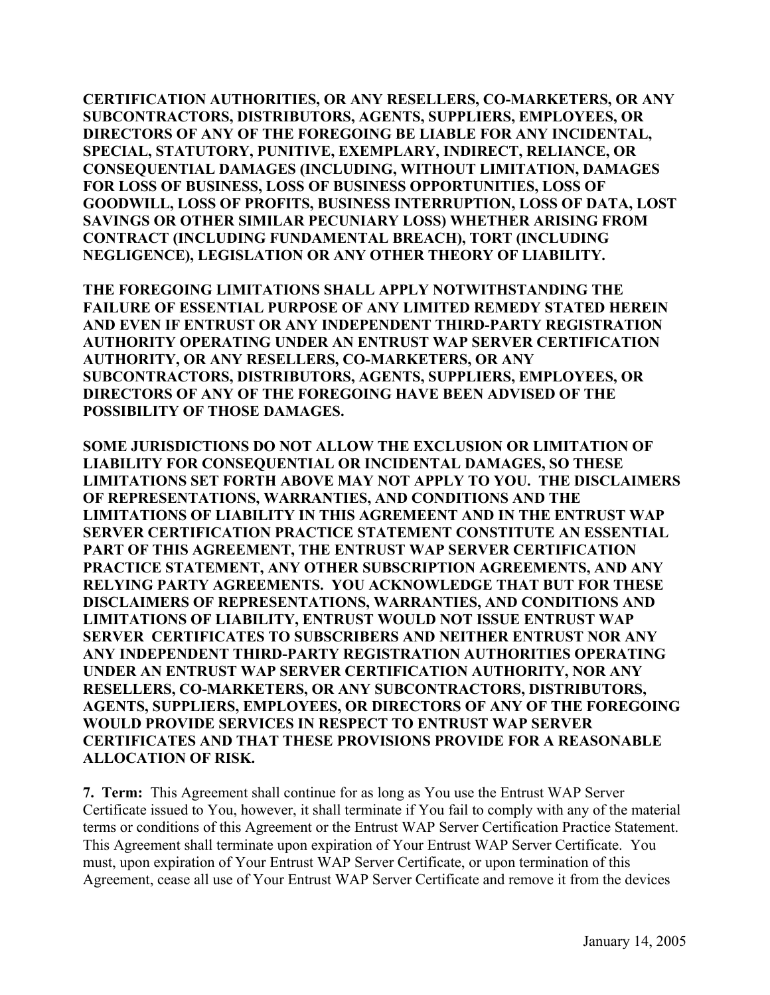**CERTIFICATION AUTHORITIES, OR ANY RESELLERS, CO-MARKETERS, OR ANY SUBCONTRACTORS, DISTRIBUTORS, AGENTS, SUPPLIERS, EMPLOYEES, OR DIRECTORS OF ANY OF THE FOREGOING BE LIABLE FOR ANY INCIDENTAL, SPECIAL, STATUTORY, PUNITIVE, EXEMPLARY, INDIRECT, RELIANCE, OR CONSEQUENTIAL DAMAGES (INCLUDING, WITHOUT LIMITATION, DAMAGES FOR LOSS OF BUSINESS, LOSS OF BUSINESS OPPORTUNITIES, LOSS OF GOODWILL, LOSS OF PROFITS, BUSINESS INTERRUPTION, LOSS OF DATA, LOST SAVINGS OR OTHER SIMILAR PECUNIARY LOSS) WHETHER ARISING FROM CONTRACT (INCLUDING FUNDAMENTAL BREACH), TORT (INCLUDING NEGLIGENCE), LEGISLATION OR ANY OTHER THEORY OF LIABILITY.** 

**THE FOREGOING LIMITATIONS SHALL APPLY NOTWITHSTANDING THE FAILURE OF ESSENTIAL PURPOSE OF ANY LIMITED REMEDY STATED HEREIN AND EVEN IF ENTRUST OR ANY INDEPENDENT THIRD-PARTY REGISTRATION AUTHORITY OPERATING UNDER AN ENTRUST WAP SERVER CERTIFICATION AUTHORITY, OR ANY RESELLERS, CO-MARKETERS, OR ANY SUBCONTRACTORS, DISTRIBUTORS, AGENTS, SUPPLIERS, EMPLOYEES, OR DIRECTORS OF ANY OF THE FOREGOING HAVE BEEN ADVISED OF THE POSSIBILITY OF THOSE DAMAGES.** 

**SOME JURISDICTIONS DO NOT ALLOW THE EXCLUSION OR LIMITATION OF LIABILITY FOR CONSEQUENTIAL OR INCIDENTAL DAMAGES, SO THESE LIMITATIONS SET FORTH ABOVE MAY NOT APPLY TO YOU. THE DISCLAIMERS OF REPRESENTATIONS, WARRANTIES, AND CONDITIONS AND THE LIMITATIONS OF LIABILITY IN THIS AGREMEENT AND IN THE ENTRUST WAP SERVER CERTIFICATION PRACTICE STATEMENT CONSTITUTE AN ESSENTIAL PART OF THIS AGREEMENT, THE ENTRUST WAP SERVER CERTIFICATION PRACTICE STATEMENT, ANY OTHER SUBSCRIPTION AGREEMENTS, AND ANY RELYING PARTY AGREEMENTS. YOU ACKNOWLEDGE THAT BUT FOR THESE DISCLAIMERS OF REPRESENTATIONS, WARRANTIES, AND CONDITIONS AND LIMITATIONS OF LIABILITY, ENTRUST WOULD NOT ISSUE ENTRUST WAP SERVER CERTIFICATES TO SUBSCRIBERS AND NEITHER ENTRUST NOR ANY ANY INDEPENDENT THIRD-PARTY REGISTRATION AUTHORITIES OPERATING UNDER AN ENTRUST WAP SERVER CERTIFICATION AUTHORITY, NOR ANY RESELLERS, CO-MARKETERS, OR ANY SUBCONTRACTORS, DISTRIBUTORS, AGENTS, SUPPLIERS, EMPLOYEES, OR DIRECTORS OF ANY OF THE FOREGOING WOULD PROVIDE SERVICES IN RESPECT TO ENTRUST WAP SERVER CERTIFICATES AND THAT THESE PROVISIONS PROVIDE FOR A REASONABLE ALLOCATION OF RISK.**

**7. Term:** This Agreement shall continue for as long as You use the Entrust WAP Server Certificate issued to You, however, it shall terminate if You fail to comply with any of the material terms or conditions of this Agreement or the Entrust WAP Server Certification Practice Statement. This Agreement shall terminate upon expiration of Your Entrust WAP Server Certificate. You must, upon expiration of Your Entrust WAP Server Certificate, or upon termination of this Agreement, cease all use of Your Entrust WAP Server Certificate and remove it from the devices